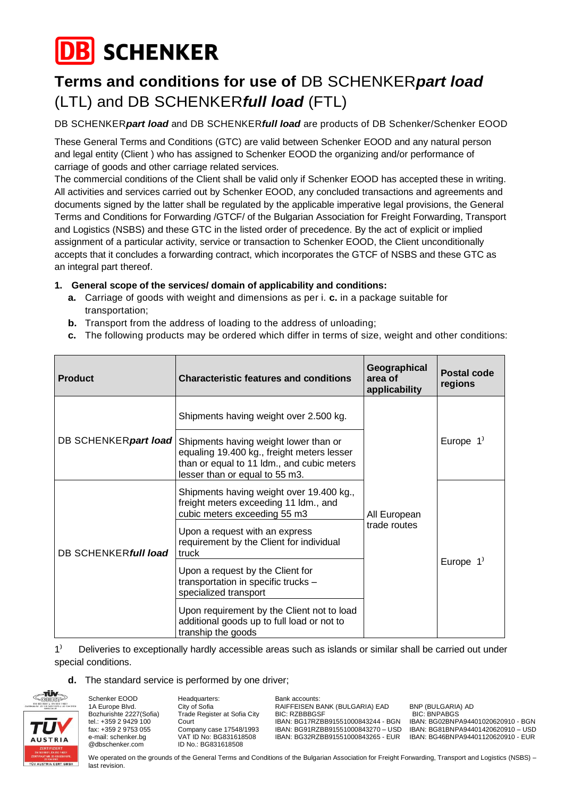

# **Terms and conditions for use of** DB SCHENKER*part load* (LTL) and DB SCHENKER*full load* (FTL)

DB SCHENKER*part load* and DB SCHENKER*full load* are products of DB Schenker/Schenker EOOD

These General Terms and Conditions (GTC) are valid between Schenker EOOD and any natural person and legal entity (Client ) who has assigned to Schenker EOOD the organizing and/or performance of carriage of goods and other carriage related services.

The commercial conditions of the Client shall be valid only if Schenker EOOD has accepted these in writing. All activities and services carried out by Schenker EOOD, any concluded transactions and agreements and documents signed by the latter shall be regulated by the applicable imperative legal provisions, the General Terms and Conditions for Forwarding /GTCF/ of the Bulgarian Association for Freight Forwarding, Transport and Logistics (NSBS) and these GTC in the listed order of precedence. By the act of explicit or implied assignment of a particular activity, service or transaction to Schenker EOOD, the Client unconditionally accepts that it concludes a forwarding contract, which incorporates the GTCF of NSBS and these GTC as an integral part thereof.

## **1. General scope of the services/ domain of applicability and conditions:**

- **a.** Carriage of goods with weight and dimensions as per i. **c.** in a package suitable for transportation;
- **b.** Transport from the address of loading to the address of unloading;
- **c.** The following products may be ordered which differ in terms of size, weight and other conditions:

| <b>Product</b>        | <b>Characteristic features and conditions</b>                                                                                                                       | Geographical<br>area of<br>applicability | Postal code<br>regions |
|-----------------------|---------------------------------------------------------------------------------------------------------------------------------------------------------------------|------------------------------------------|------------------------|
|                       | Shipments having weight over 2.500 kg.                                                                                                                              | All European<br>trade routes             | Europe $1'$            |
| DB SCHENKER part load | Shipments having weight lower than or<br>equaling 19.400 kg., freight meters lesser<br>than or equal to 11 ldm., and cubic meters<br>lesser than or equal to 55 m3. |                                          |                        |
|                       | Shipments having weight over 19.400 kg.,<br>freight meters exceeding 11 ldm., and<br>cubic meters exceeding 55 m3                                                   |                                          | Europe $1'$            |
| DB SCHENKER full load | Upon a request with an express<br>requirement by the Client for individual<br>truck                                                                                 |                                          |                        |
|                       | Upon a request by the Client for<br>transportation in specific trucks -<br>specialized transport                                                                    |                                          |                        |
|                       | Upon requirement by the Client not to load<br>additional goods up to full load or not to<br>tranship the goods                                                      |                                          |                        |

#### 1<sup>)</sup> Deliveries to exceptionally hardly accessible areas such as islands or similar shall be carried out under special conditions.

#### **d.** The standard service is performed by one driver;



Schenker EOOD 1A Europe Blvd. Bozhurishte 2227(Sofia) tel.: +359 2 9429 100 fax: +359 2 9753 055 е-mail: schenker.bg @dbschenker.com

Headquarters: City of Sofia Trade Register at Sofia City Court Company case 17548/1993 VAT ID No: BG831618508 ID No.: BG831618508

Bank accounts: RAIFFEISEN BANK (BULGARIA) EAD BNP (BULGARIA) AD BIC: RZBBBGSF BIC: BNPABGS<br>IRAN: RG17R7BB91551000843244 - RGN IRAN: RG02BNP

IBAN: BG02BNPA94401020620910 - BGN IBAN: BG91RZBB91551000843270 – USD IBAN: BG81BNPA94401420620910 – USD IBAN: BG32RZBB91551000843265 - EUR IBAN: BG46BNPA94401120620910 - EUR

We operated on the grounds of the General Terms and Conditions of the Bulgarian Association for Freight Forwarding, Transport and Logistics (NSBS) – last revision.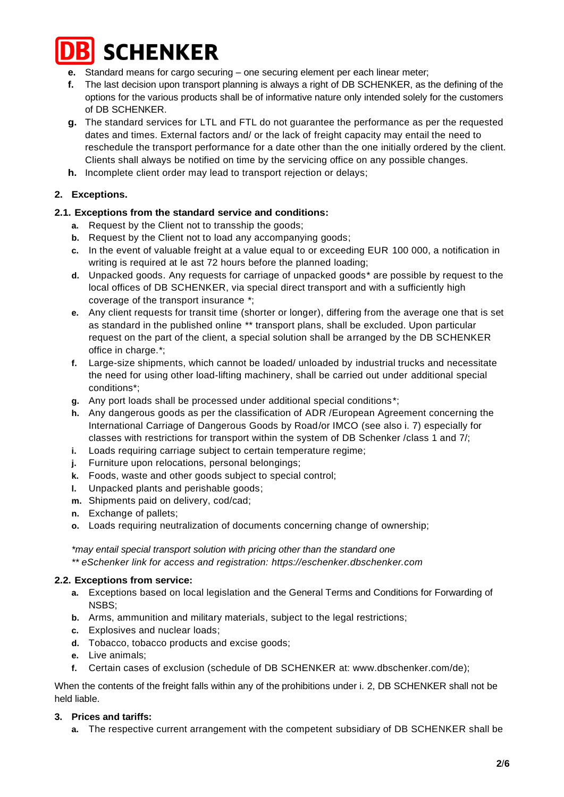

- **e.** Standard means for cargo securing one securing element per each linear meter;
- **f.** The last decision upon transport planning is always a right of DB SCHENKER, as the defining of the options for the various products shall be of informative nature only intended solely for the customers of DB SCHENKER.
- **g.** The standard services for LTL and FTL do not guarantee the performance as per the requested dates and times. External factors and/ or the lack of freight capacity may entail the need to reschedule the transport performance for a date other than the one initially ordered by the client. Clients shall always be notified on time by the servicing office on any possible changes.
- **h.** Incomplete client order may lead to transport rejection or delays;

# **2. Exceptions.**

## **2.1. Exceptions from the standard service and conditions:**

- **a.** Request by the Client not to transship the goods;
- **b.** Request by the Client not to load any accompanying goods;
- **c.** In the event of valuable freight at a value equal to or exceeding EUR 100 000, a notification in writing is required at le ast 72 hours before the planned loading;
- **d.** Unpacked goods. Any requests for carriage of unpacked goods\* are possible by request to the local offices of DB SCHENKER, via special direct transport and with a sufficiently high coverage of the transport insurance \*;
- **e.** Any client requests for transit time (shorter or longer), differing from the average one that is set as standard in the published online \*\* transport plans, shall be excluded. Upon particular request on the part of the client, a special solution shall be arranged by the DB SCHENKER office in charge.\*;
- **f.** Large-size shipments, which cannot be loaded/ unloaded by industrial trucks and necessitate the need for using other load-lifting machinery, shall be carried out under additional special conditions\*;
- **g.** Any port loads shall be processed under additional special conditions\*;
- **h.** Any dangerous goods as per the classification of ADR /European Agreement concerning the International Carriage of Dangerous Goods by Road/or IMCO (see also i. 7) especially for classes with restrictions for transport within the system of DB Schenker /class 1 and 7/;
- **i.** Loads requiring carriage subject to certain temperature regime;
- **j.** Furniture upon relocations, personal belongings;
- **k.** Foods, waste and other goods subject to special control;
- **l.** Unpacked plants and perishable goods;
- **m.** Shipments paid on delivery, cod/cad;
- **n.** Exchange of pallets;
- **o.** Loads requiring neutralization of documents concerning change of ownership;

*\*may entail special transport solution with pricing other than the standard one \*\* eSchenker link for access and registration: https://eschenker.dbschenker.com*

#### **2.2. Exceptions from service:**

- **a.** Exceptions based on local legislation and the General Terms and Conditions for Forwarding of NSBS;
- **b.** Arms, ammunition and military materials, subject to the legal restrictions;
- **c.** Explosives and nuclear loads;
- **d.** Tobacco, tobacco products and excise goods;
- **e.** Live animals;
- **f.** Certain cases of exclusion (schedule of DB SCHENKER at: [www.dbschenker.com/de\)](http://www.dbschenker.com/de);

When the contents of the freight falls within any of the prohibitions under i. 2, DB SCHENKER shall not be held liable.

#### **3. Prices and tariffs:**

**a.** The respective current arrangement with the competent subsidiary of DB SCHENKER shall be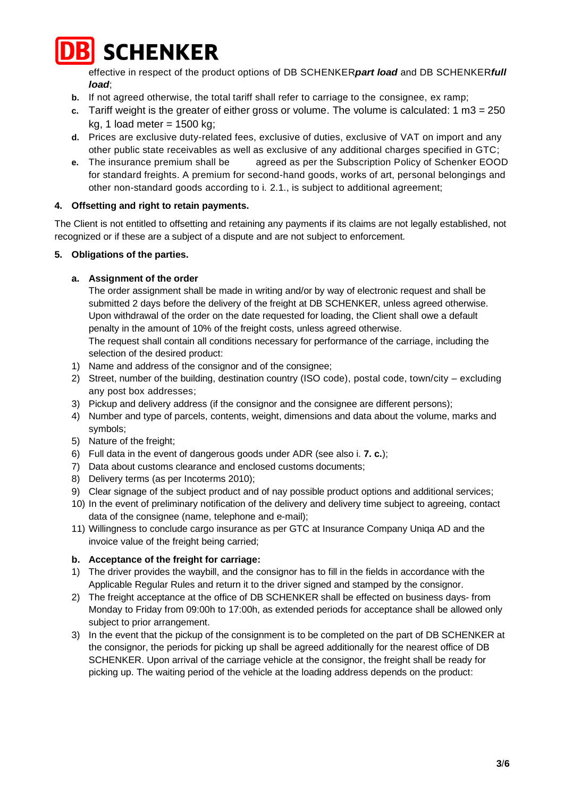

effective in respect of the product options of DB SCHENKER*part load* and DB SCHENKER*full load*;

- **b.** If not agreed otherwise, the total tariff shall refer to carriage to the consignee, ex ramp;
- **c.** Tariff weight is the greater of either gross or volume. The volume is calculated: 1 m3 = 250 kg, 1 load meter =  $1500$  kg;
- **d.** Prices are exclusive duty-related fees, exclusive of duties, exclusive of VAT on import and any other public state receivables as well as exclusive of any additional charges specified in GTC;
- **e.** The insurance premium shall be agreed as per the Subscription Policy of Schenker EOOD for standard freights. A premium for second-hand goods, works of art, personal belongings and other non-standard goods according to i. 2.1., is subject to additional agreement;

## **4. Offsetting and right to retain payments.**

The Client is not entitled to offsetting and retaining any payments if its claims are not legally established, not recognized or if these are a subject of a dispute and are not subject to enforcement.

## **5. Obligations of the parties.**

# **a. Assignment of the order**

The order assignment shall be made in writing and/or by way of electronic request and shall be submitted 2 days before the delivery of the freight at DB SCHENKER, unless agreed otherwise. Upon withdrawal of the order on the date requested for loading, the Client shall owe a default penalty in the amount of 10% of the freight costs, unless agreed otherwise.

The request shall contain all conditions necessary for performance of the carriage, including the selection of the desired product:

- 1) Name and address of the consignor and of the consignee;
- 2) Street, number of the building, destination country (ISO code), postal code, town/city excluding any post box addresses;
- 3) Pickup and delivery address (if the consignor and the consignee are different persons);
- 4) Number and type of parcels, contents, weight, dimensions and data about the volume, marks and symbols;
- 5) Nature of the freight;
- 6) Full data in the event of dangerous goods under ADR (see also i. **7. c.**);
- 7) Data about customs clearance and enclosed customs documents;
- 8) Delivery terms (as per Incoterms 2010);
- 9) Clear signage of the subject product and of nay possible product options and additional services;
- 10) In the event of preliminary notification of the delivery and delivery time subject to agreeing, contact data of the consignee (name, telephone and e-mail);
- 11) Willingness to conclude cargo insurance as per GTC at Insurance Company Uniqa AD and the invoice value of the freight being carried;

## **b. Acceptance of the freight for carriage:**

- 1) The driver provides the waybill, and the consignor has to fill in the fields in accordance with the Applicable Regular Rules and return it to the driver signed and stamped by the consignor.
- 2) The freight acceptance at the office of DB SCHENKER shall be effected on business days- from Monday to Friday from 09:00h to 17:00h, as extended periods for acceptance shall be allowed only subject to prior arrangement.
- 3) In the event that the pickup of the consignment is to be completed on the part of DB SCHENKER at the consignor, the periods for picking up shall be agreed additionally for the nearest office of DB SCHENKER. Upon arrival of the carriage vehicle at the consignor, the freight shall be ready for picking up. The waiting period of the vehicle at the loading address depends on the product: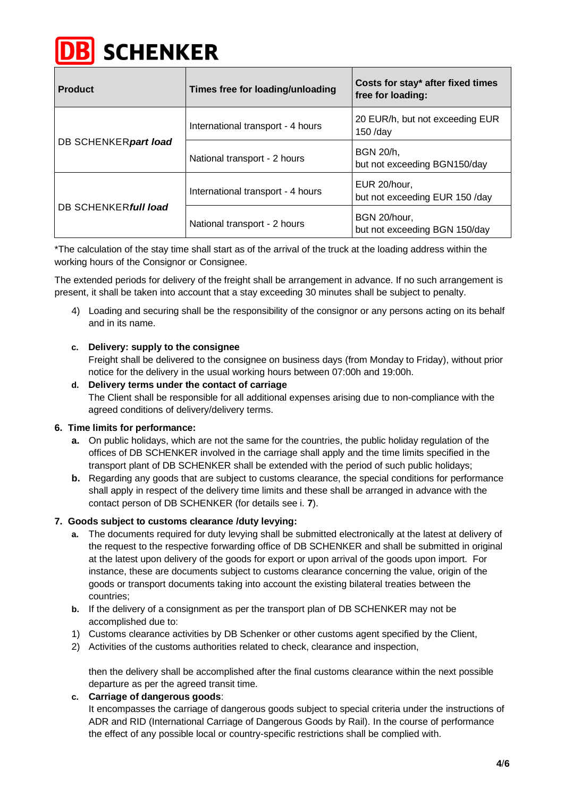

|  | <b>Product</b>        | Times free for loading/unloading  | Costs for stay* after fixed times<br>free for loading: |
|--|-----------------------|-----------------------------------|--------------------------------------------------------|
|  | DB SCHENKER part load | International transport - 4 hours | 20 EUR/h, but not exceeding EUR<br>$150$ /day          |
|  |                       | National transport - 2 hours      | BGN 20/h,<br>but not exceeding BGN150/day              |
|  | DB SCHENKER full load | International transport - 4 hours | EUR 20/hour,<br>but not exceeding EUR 150 /day         |
|  |                       | National transport - 2 hours      | BGN 20/hour,<br>but not exceeding BGN 150/day          |

\*The calculation of the stay time shall start as of the arrival of the truck at the loading address within the working hours of the Consignor or Consignee.

The extended periods for delivery of the freight shall be arrangement in advance. If no such arrangement is present, it shall be taken into account that a stay exceeding 30 minutes shall be subject to penalty.

4) Loading and securing shall be the responsibility of the consignor or any persons acting on its behalf and in its name.

## **c. Delivery: supply to the consignee**

Freight shall be delivered to the consignee on business days (from Monday to Friday), without prior notice for the delivery in the usual working hours between 07:00h and 19:00h.

#### **d. Delivery terms under the contact of carriage**

The Client shall be responsible for all additional expenses arising due to non-compliance with the agreed conditions of delivery/delivery terms.

#### **6. Time limits for performance:**

- **a.** On public holidays, which are not the same for the countries, the public holiday regulation of the offices of DB SCHENKER involved in the carriage shall apply and the time limits specified in the transport plant of DB SCHENKER shall be extended with the period of such public holidays;
- **b.** Regarding any goods that are subject to customs clearance, the special conditions for performance shall apply in respect of the delivery time limits and these shall be arranged in advance with the contact person of DB SCHENKER (for details see i. **7**).

#### **7. Goods subject to customs clearance /duty levying:**

- **a.** The documents required for duty levying shall be submitted electronically at the latest at delivery of the request to the respective forwarding office of DB SCHENKER and shall be submitted in original at the latest upon delivery of the goods for export or upon arrival of the goods upon import. For instance, these are documents subject to customs clearance concerning the value, origin of the goods or transport documents taking into account the existing bilateral treaties between the countries;
- **b.** If the delivery of a consignment as per the transport plan of DB SCHENKER may not be accomplished due to:
- 1) Customs clearance activities by DB Schenker or other customs agent specified by the Client,
- 2) Activities of the customs authorities related to check, clearance and inspection,

then the delivery shall be accomplished after the final customs clearance within the next possible departure as per the agreed transit time.

#### **c. Carriage of dangerous goods**:

It encompasses the carriage of dangerous goods subject to special criteria under the instructions of ADR and RID (International Carriage of Dangerous Goods by Rail). In the course of performance the effect of any possible local or country-specific restrictions shall be complied with.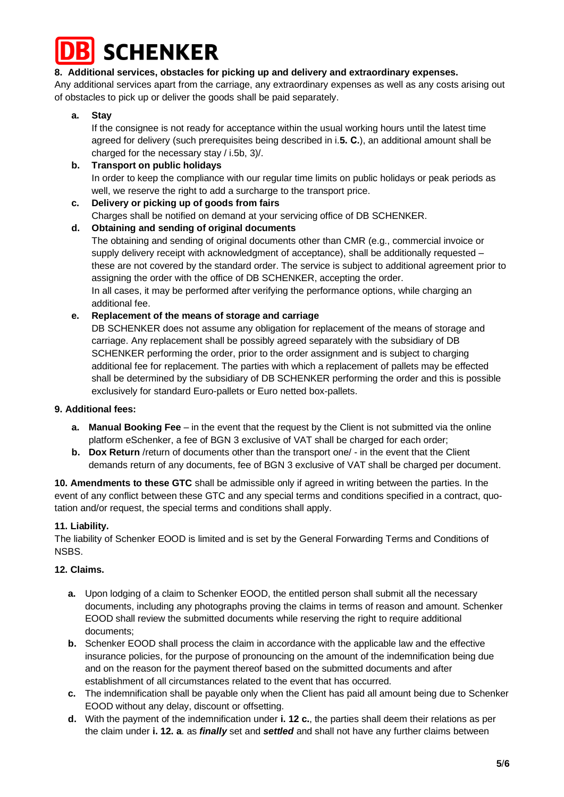

## **8. Additional services, obstacles for picking up and delivery and extraordinary expenses.**

Any additional services apart from the carriage, any extraordinary expenses as well as any costs arising out of obstacles to pick up or deliver the goods shall be paid separately.

## **a. Stay**

If the consignee is not ready for acceptance within the usual working hours until the latest time agreed for delivery (such prerequisites being described in i.**5. С.**), an additional amount shall be charged for the necessary stay / i.5b, 3)/.

# **b. Transport on public holidays**  In order to keep the compliance with our regular time limits on public holidays or peak periods as well, we reserve the right to add a surcharge to the transport price.

#### **c. Delivery or picking up of goods from fairs**  Charges shall be notified on demand at your servicing office of DB SCHENKER. **d. Obtaining and sending of original documents**

The obtaining and sending of original documents other than CMR (e.g., commercial invoice or supply delivery receipt with acknowledgment of acceptance), shall be additionally requested these are not covered by the standard order. The service is subject to additional agreement prior to assigning the order with the office of DB SCHENKER, accepting the order. In all cases, it may be performed after verifying the performance options, while charging an additional fee.

## **e. Replacement of the means of storage and carriage**

DB SCHENKER does not assume any obligation for replacement of the means of storage and carriage. Any replacement shall be possibly agreed separately with the subsidiary of DB SCHENKER performing the order, prior to the order assignment and is subject to charging additional fee for replacement. The parties with which a replacement of pallets may be effected shall be determined by the subsidiary of DB SCHENKER performing the order and this is possible exclusively for standard Euro-pallets or Euro netted box-pallets.

## **9. Additional fees:**

- **a. Manual Booking Fee** in the event that the request by the Client is not submitted via the online platform eSchenker, a fee of BGN 3 exclusive of VAT shall be charged for each order;
- **b. Dox Return** /return of documents other than the transport one/ in the event that the Client demands return of any documents, fee of BGN 3 exclusive of VAT shall be charged per document.

**10. Amendments to these GTC** shall be admissible only if agreed in writing between the parties. In the event of any conflict between these GTC and any special terms and conditions specified in a contract, quotation and/or request, the special terms and conditions shall apply.

## **11. Liability.**

The liability of Schenker EOOD is limited and is set by the General Forwarding Terms and Conditions of NSBS.

## **12. Claims.**

- **a.** Upon lodging of a claim to Schenker EOOD, the entitled person shall submit all the necessary documents, including any photographs proving the claims in terms of reason and amount. Schenker EOOD shall review the submitted documents while reserving the right to require additional documents;
- **b.** Schenker EOOD shall process the claim in accordance with the applicable law and the effective insurance policies, for the purpose of pronouncing on the amount of the indemnification being due and on the reason for the payment thereof based on the submitted documents and after establishment of all circumstances related to the event that has occurred.
- **c.** The indemnification shall be payable only when the Client has paid all amount being due to Schenker EOOD without any delay, discount or offsetting.
- **d.** With the payment of the indemnification under **i. 12 c.**, the parties shall deem their relations as per the claim under **i. 12. a**. as *finally* set and *settled* and shall not have any further claims between